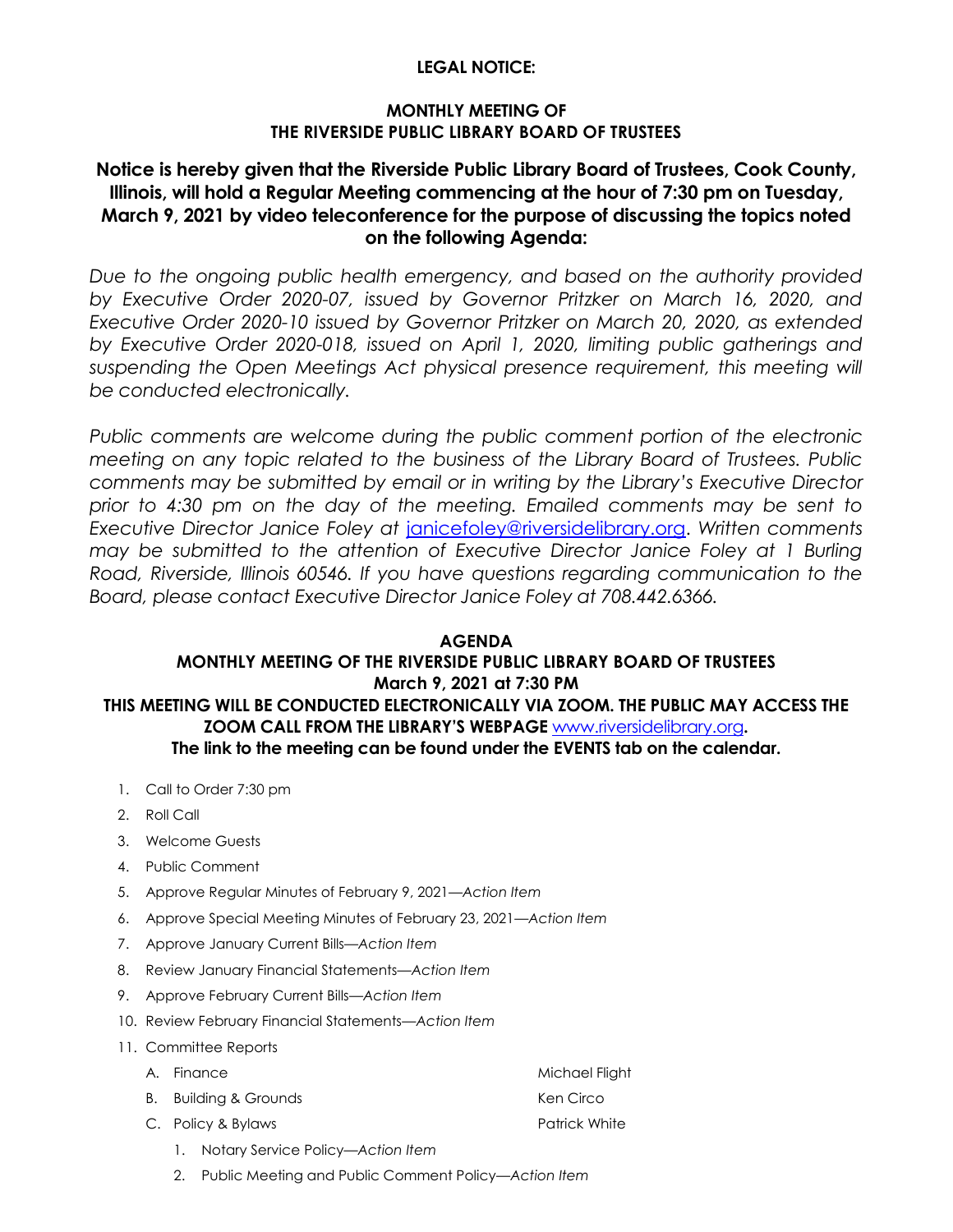#### **LEGAL NOTICE:**

#### **MONTHLY MEETING OF THE RIVERSIDE PUBLIC LIBRARY BOARD OF TRUSTEES**

# **Notice is hereby given that the Riverside Public Library Board of Trustees, Cook County, Illinois, will hold a Regular Meeting commencing at the hour of 7:30 pm on Tuesday, March 9, 2021 by video teleconference for the purpose of discussing the topics noted on the following Agenda:**

*Due to the ongoing public health emergency, and based on the authority provided by Executive Order 2020-07, issued by Governor Pritzker on March 16, 2020, and Executive Order 2020-10 issued by Governor Pritzker on March 20, 2020, as extended by Executive Order 2020-018, issued on April 1, 2020, limiting public gatherings and*  suspending the Open Meetings Act physical presence requirement, this meeting will *be conducted electronically.* 

Public comments are welcome during the public comment portion of the electronic *meeting on any topic related to the business of the Library Board of Trustees. Public comments may be submitted by email or in writing by the Library's Executive Director prior to 4:30 pm on the day of the meeting. Emailed comments may be sent to Executive Director Janice Foley at* [janicefoley@riversidelibrary.org.](mailto:janicefoley@riversidelibrary.org) *Written comments may be submitted to the attention of Executive Director Janice Foley at 1 Burling Road, Riverside, Illinois 60546. If you have questions regarding communication to the Board, please contact Executive Director Janice Foley at 708.442.6366.* 

#### **AGENDA**

### **MONTHLY MEETING OF THE RIVERSIDE PUBLIC LIBRARY BOARD OF TRUSTEES March 9, 2021 at 7:30 PM THIS MEETING WILL BE CONDUCTED ELECTRONICALLY VIA ZOOM. THE PUBLIC MAY ACCESS THE ZOOM CALL FROM THE LIBRARY'S WEBPAGE** [www.riversidelibrary.org](http://www.riversidelibrary.org/)**. The link to the meeting can be found under the EVENTS tab on the calendar.**

- 1. Call to Order 7:30 pm
- 2. Roll Call
- 3. Welcome Guests
- 4. Public Comment
- 5. Approve Regular Minutes of February 9, 2021*—Action Item*
- 6. Approve Special Meeting Minutes of February 23, 2021*—Action Item*
- 7. Approve January Current Bills*—Action Item*
- 8. Review January Financial Statements*—Action Item*
- 9. Approve February Current Bills*—Action Item*
- 10. Review February Financial Statements*—Action Item*
- 11. Committee Reports
	- A. Finance Michael Flight B. Building & Grounds Ken Circo
	- C. Policy & Bylaws Patrick White
		- 1. Notary Service Policy—*Action Item*
		- 2. Public Meeting and Public Comment Policy*—Action Item*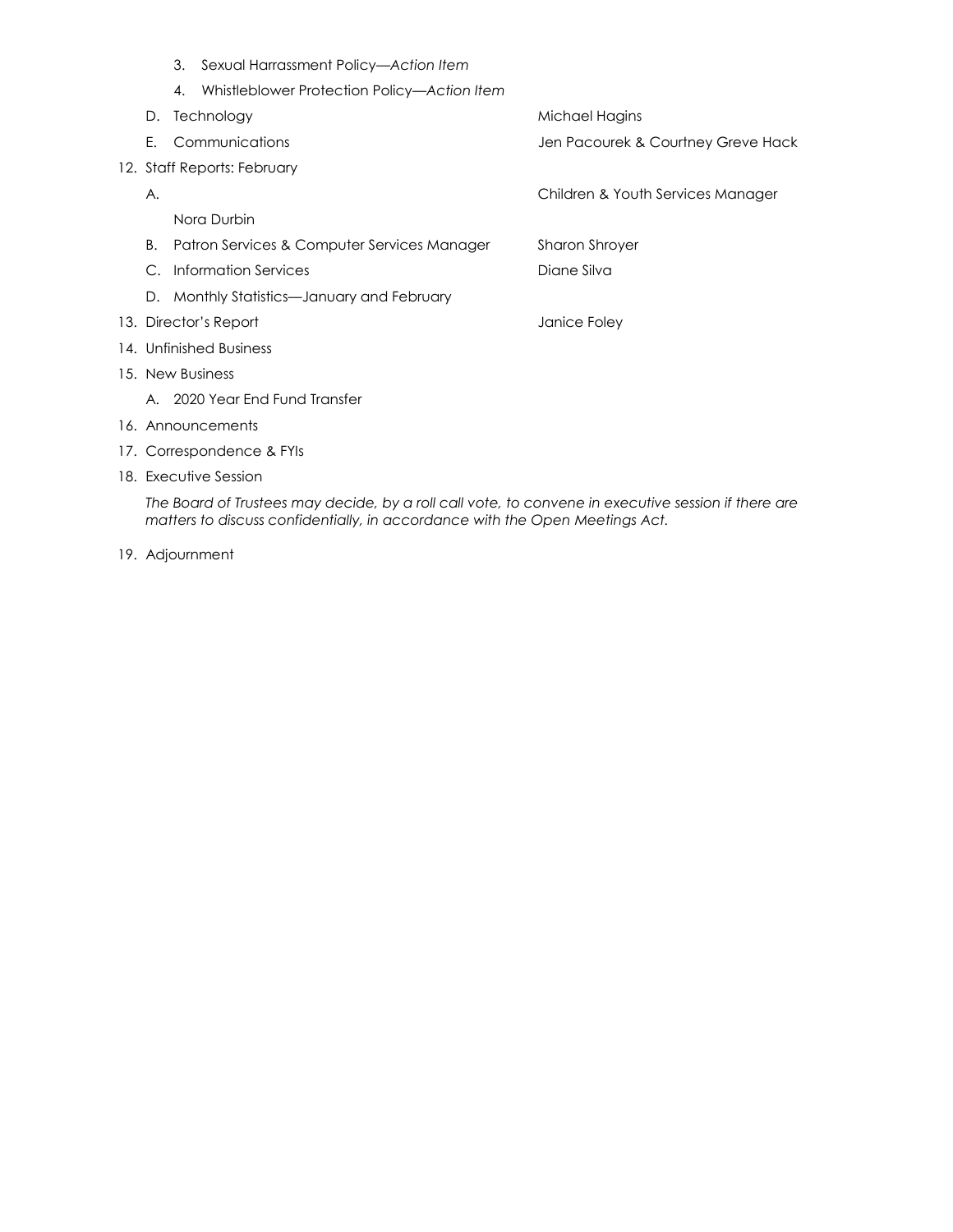3. Sexual Harrassment Policy*—Action Item* 4. Whistleblower Protection Policy—*Action Item* D. Technology and the matter of the Michael Hagins E. Communications Jen Pacourek & Courtney Greve Hack 12. Staff Reports: February A. Children & Youth Services Manager Nora Durbin B. Patron Services & Computer Services Manager Sharon Shroyer C. Information Services **Diane Silva** Diane Silva D. Monthly Statistics—January and February 13. Director's Report **Containers** and a state of the United States of Tanice Foley 14. Unfinished Business 15. New Business A. 2020 Year End Fund Transfer 16. Announcements 17. Correspondence & FYIs 18. Executive Session

*The Board of Trustees may decide, by a roll call vote, to convene in executive session if there are matters to discuss confidentially, in accordance with the Open Meetings Act.*

19. Adjournment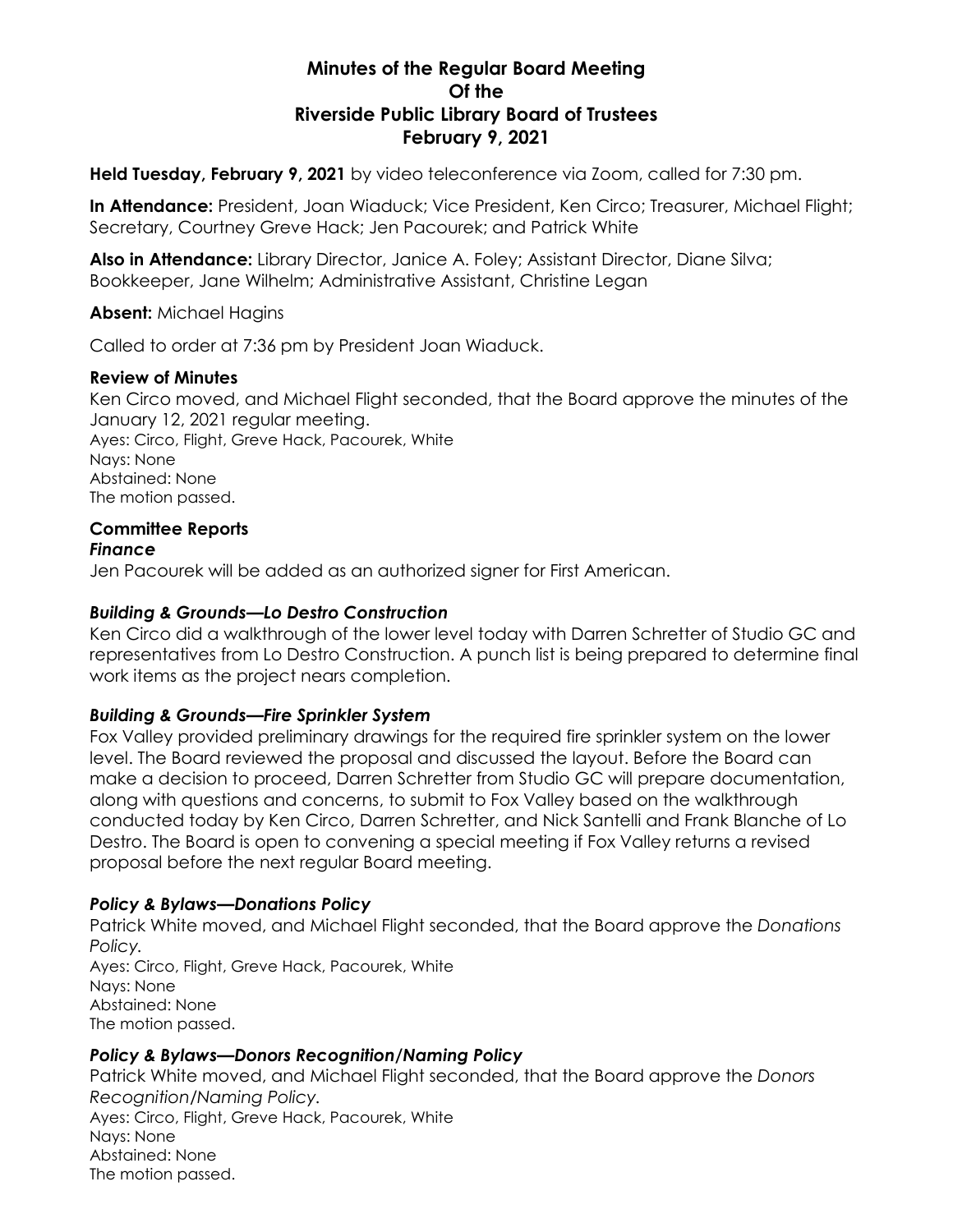# **Minutes of the Regular Board Meeting Of the Riverside Public Library Board of Trustees February 9, 2021**

**Held Tuesday, February 9, 2021** by video teleconference via Zoom, called for 7:30 pm.

**In Attendance:** President, Joan Wiaduck; Vice President, Ken Circo; Treasurer, Michael Flight; Secretary, Courtney Greve Hack; Jen Pacourek; and Patrick White

**Also in Attendance:** Library Director, Janice A. Foley; Assistant Director, Diane Silva; Bookkeeper, Jane Wilhelm; Administrative Assistant, Christine Legan

### **Absent:** Michael Hagins

Called to order at 7:36 pm by President Joan Wiaduck.

#### **Review of Minutes**

Ken Circo moved, and Michael Flight seconded, that the Board approve the minutes of the January 12, 2021 regular meeting. Ayes: Circo, Flight, Greve Hack, Pacourek, White Nays: None Abstained: None The motion passed.

# **Committee Reports**

#### *Finance*

Jen Pacourek will be added as an authorized signer for First American.

#### *Building & Grounds—Lo Destro Construction*

Ken Circo did a walkthrough of the lower level today with Darren Schretter of Studio GC and representatives from Lo Destro Construction. A punch list is being prepared to determine final work items as the project nears completion.

### *Building & Grounds—Fire Sprinkler System*

Fox Valley provided preliminary drawings for the required fire sprinkler system on the lower level. The Board reviewed the proposal and discussed the layout. Before the Board can make a decision to proceed, Darren Schretter from Studio GC will prepare documentation, along with questions and concerns, to submit to Fox Valley based on the walkthrough conducted today by Ken Circo, Darren Schretter, and Nick Santelli and Frank Blanche of Lo Destro. The Board is open to convening a special meeting if Fox Valley returns a revised proposal before the next regular Board meeting.

### *Policy & Bylaws—Donations Policy*

Patrick White moved, and Michael Flight seconded, that the Board approve the *Donations Policy.* Ayes: Circo, Flight, Greve Hack, Pacourek, White Nays: None Abstained: None The motion passed.

### *Policy & Bylaws—Donors Recognition/Naming Policy*

Patrick White moved, and Michael Flight seconded, that the Board approve the *Donors Recognition/Naming Policy.* Ayes: Circo, Flight, Greve Hack, Pacourek, White Nays: None Abstained: None The motion passed.